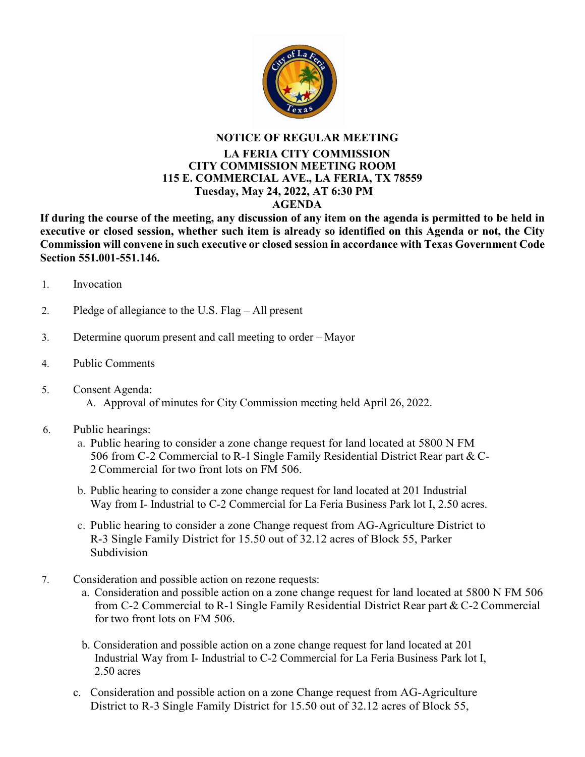

## **NOTICE OF REGULAR MEETING**

## **LA FERIA CITY COMMISSION CITY COMMISSION MEETING ROOM 115 E. COMMERCIAL AVE., LA FERIA, TX 78559 Tuesday, May 24, 2022, AT 6:30 PM AGENDA**

**If during the course of the meeting, any discussion of any item on the agenda is permitted to be held in executive or closed session, whether such item is already so identified on this Agenda or not, the City Commission will convene in such executive or closed session in accordance with Texas Government Code Section 551.001-551.146.**

- 1. Invocation
- 2. Pledge of allegiance to the U.S. Flag All present
- 3. Determine quorum present and call meeting to order Mayor
- 4. Public Comments
- 5. Consent Agenda:
	- A. Approval of minutes for City Commission meeting held April 26, 2022.
- 6. Public hearings:
	- a. Public hearing to consider a zone change request for land located at 5800 N FM 506 from C-2 Commercial to R-1 Single Family Residential District Rear part & C-2Commercial for two front lots on FM 506.
	- b. Public hearing to consider a zone change request for land located at 201 Industrial Way from I- Industrial to C-2 Commercial for La Feria Business Park lot I, 2.50 acres.
	- c. Public hearing to consider a zone Change request from AG-Agriculture District to R-3 Single Family District for 15.50 out of 32.12 acres of Block 55, Parker Subdivision
- 7. Consideration and possible action on rezone requests:
	- a. Consideration and possible action on a zone change request for land located at 5800 N FM 506 from C-2 Commercial to R-1 Single Family Residential District Rear part & C-2Commercial for two front lots on FM 506.
	- b. Consideration and possible action on a zone change request for land located at 201 Industrial Way from I- Industrial to C-2 Commercial for La Feria Business Park lot I, 2.50 acres
	- c. Consideration and possible action on a zone Change request from AG-Agriculture District to R-3 Single Family District for 15.50 out of 32.12 acres of Block 55,